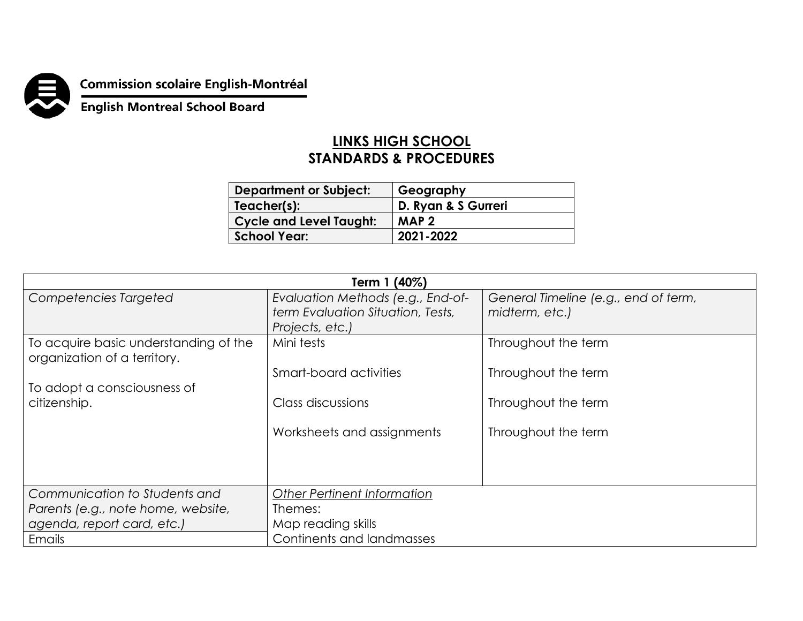

**Commission scolaire English-Montréal<br>English Montreal School Board** 

## **LINKS HIGH SCHOOL STANDARDS & PROCEDURES**

| <b>Department or Subject:</b>  | Geography           |
|--------------------------------|---------------------|
| Teacher(s):                    | D. Ryan & S Gurreri |
| <b>Cycle and Level Taught:</b> | MAP <sub>2</sub>    |
| <b>School Year:</b>            | 2021-2022           |

| Term 1 (40%)                                                          |                                    |                                      |  |  |
|-----------------------------------------------------------------------|------------------------------------|--------------------------------------|--|--|
| Competencies Targeted                                                 | Evaluation Methods (e.g., End-of-  | General Timeline (e.g., end of term, |  |  |
|                                                                       | term Evaluation Situation, Tests,  | midterm, etc.)                       |  |  |
|                                                                       | Projects, etc.)                    |                                      |  |  |
| To acquire basic understanding of the<br>organization of a territory. | Mini tests                         | Throughout the term                  |  |  |
|                                                                       | Smart-board activities             | Throughout the term                  |  |  |
| To adopt a consciousness of                                           |                                    |                                      |  |  |
| citizenship.                                                          | Class discussions                  | Throughout the term                  |  |  |
|                                                                       |                                    |                                      |  |  |
|                                                                       | Worksheets and assignments         | Throughout the term                  |  |  |
|                                                                       |                                    |                                      |  |  |
|                                                                       |                                    |                                      |  |  |
|                                                                       |                                    |                                      |  |  |
| Communication to Students and                                         | <b>Other Pertinent Information</b> |                                      |  |  |
| Parents (e.g., note home, website,                                    | Themes:                            |                                      |  |  |
| agenda, report card, etc.)                                            | Map reading skills                 |                                      |  |  |
| Emails                                                                | Continents and landmasses          |                                      |  |  |